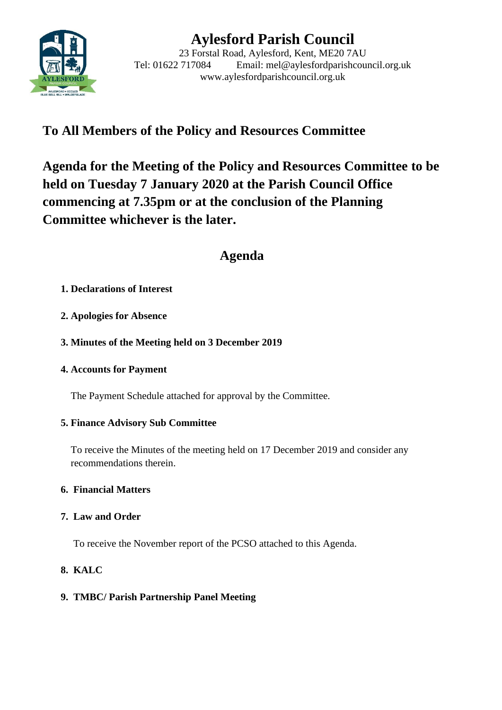

# **Aylesford Parish Council**

23 Forstal Road, Aylesford, Kent, ME20 7AU Tel: 01622 717084 Email: mel@aylesfordparishcouncil.org.uk www.aylesfordparishcouncil.org.uk

## **To All Members of the Policy and Resources Committee**

**Agenda for the Meeting of the Policy and Resources Committee to be held on Tuesday 7 January 2020 at the Parish Council Office commencing at 7.35pm or at the conclusion of the Planning Committee whichever is the later.**

## **Agenda**

## **1. Declarations of Interest**

**2. Apologies for Absence**

## **3. Minutes of the Meeting held on 3 December 2019**

### **4. Accounts for Payment**

The Payment Schedule attached for approval by the Committee.

## **5. Finance Advisory Sub Committee**

To receive the Minutes of the meeting held on 17 December 2019 and consider any recommendations therein.

## **6. Financial Matters**

## **7. Law and Order**

To receive the November report of the PCSO attached to this Agenda.

## **8. KALC**

## **9. TMBC/ Parish Partnership Panel Meeting**